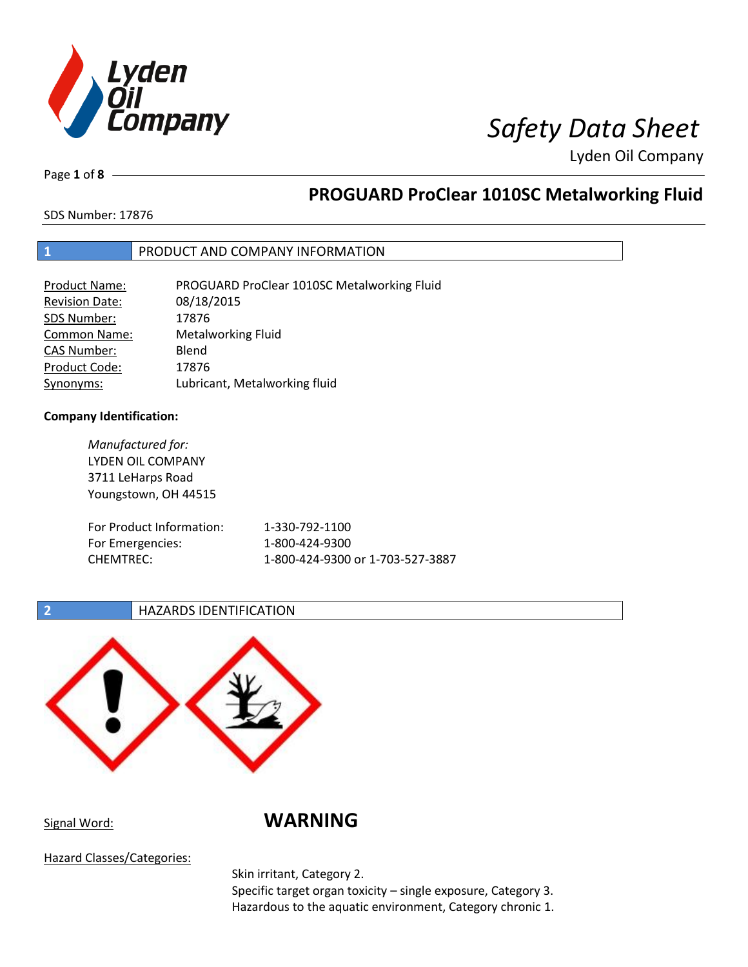

Page **1** of **8**

## **PROGUARD ProClear 1010SC Metalworking Fluid**

SDS Number: 17876

## **1** PRODUCT AND COMPANY INFORMATION

| <b>Product Name:</b>  | PROGUARD ProClear 1010SC Metalworking Fluid |
|-----------------------|---------------------------------------------|
| <b>Revision Date:</b> | 08/18/2015                                  |
| SDS Number:           | 17876                                       |
| <b>Common Name:</b>   | <b>Metalworking Fluid</b>                   |
| <b>CAS Number:</b>    | Blend                                       |
| Product Code:         | 17876                                       |
| Synonyms:             | Lubricant, Metalworking fluid               |

### **Company Identification:**

| Manufactured for:<br><b>LYDEN OIL COMPANY</b><br>3711 LeHarps Road<br>Youngstown, OH 44515 |                                  |
|--------------------------------------------------------------------------------------------|----------------------------------|
| For Product Information:                                                                   | 1-330-792-1100                   |
| For Emergencies:                                                                           | 1-800-424-9300                   |
| CHEMTREC:                                                                                  | 1-800-424-9300 or 1-703-527-3887 |

## **2 HAZARDS IDENTIFICATION**



## Signal Word: **WARNING**

Hazard Classes/Categories:

Skin irritant, Category 2. Specific target organ toxicity – single exposure, Category 3. Hazardous to the aquatic environment, Category chronic 1.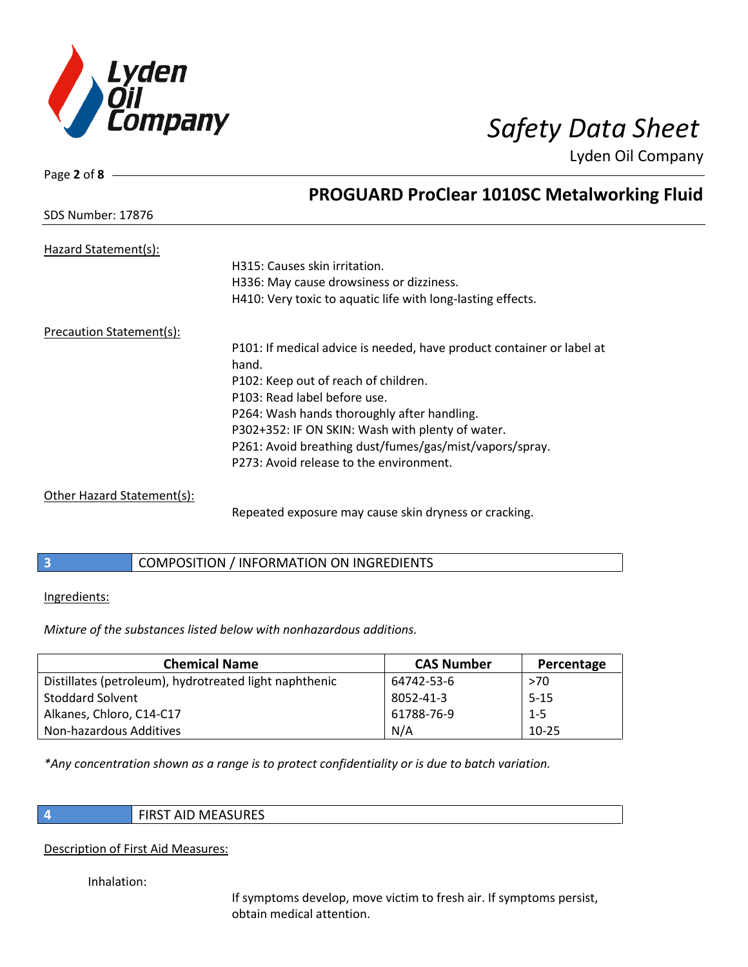

| Page 2 of 8                |                                                                       |
|----------------------------|-----------------------------------------------------------------------|
|                            | <b>PROGUARD ProClear 1010SC Metalworking Fluid</b>                    |
| <b>SDS Number: 17876</b>   |                                                                       |
| Hazard Statement(s):       |                                                                       |
|                            | H315: Causes skin irritation.                                         |
|                            | H336: May cause drowsiness or dizziness.                              |
|                            | H410: Very toxic to aquatic life with long-lasting effects.           |
| Precaution Statement(s):   |                                                                       |
|                            | P101: If medical advice is needed, have product container or label at |
|                            | hand.                                                                 |
|                            | P102: Keep out of reach of children.                                  |
|                            | P103: Read label before use.                                          |
|                            | P264: Wash hands thoroughly after handling.                           |
|                            | P302+352: IF ON SKIN: Wash with plenty of water.                      |
|                            | P261: Avoid breathing dust/fumes/gas/mist/vapors/spray.               |
|                            | P273: Avoid release to the environment.                               |
| Other Hazard Statement(s): |                                                                       |

Repeated exposure may cause skin dryness or cracking.

## **3** COMPOSITION / INFORMATION ON INGREDIENTS

### Ingredients:

*Mixture of the substances listed below with nonhazardous additions.*

| <b>Chemical Name</b>                                   | <b>CAS Number</b> | Percentage |
|--------------------------------------------------------|-------------------|------------|
| Distillates (petroleum), hydrotreated light naphthenic | 64742-53-6        | >70        |
| <b>Stoddard Solvent</b>                                | 8052-41-3         | $5 - 15$   |
| Alkanes, Chloro, C14-C17                               | 61788-76-9        | $1 - 5$    |
| Non-hazardous Additives                                | N/A               | $10 - 25$  |

*\*Any concentration shown as a range is to protect confidentiality or is due to batch variation.*

**4** FIRST AID MEASURES

### Description of First Aid Measures:

Inhalation:

If symptoms develop, move victim to fresh air. If symptoms persist, obtain medical attention.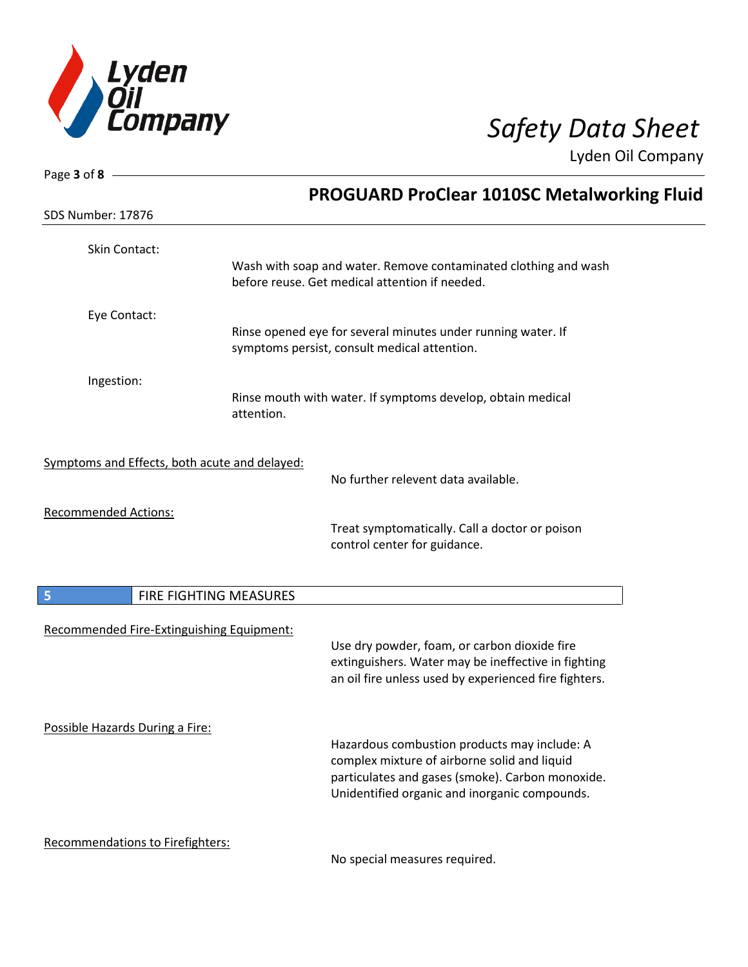

| Page 3 of 8                                   |                                                                                                                   |
|-----------------------------------------------|-------------------------------------------------------------------------------------------------------------------|
|                                               | <b>PROGUARD ProClear 1010SC Metalworking Fluid</b>                                                                |
| <b>SDS Number: 17876</b>                      |                                                                                                                   |
| Skin Contact:                                 |                                                                                                                   |
|                                               | Wash with soap and water. Remove contaminated clothing and wash<br>before reuse. Get medical attention if needed. |
| Eye Contact:                                  |                                                                                                                   |
|                                               | Rinse opened eye for several minutes under running water. If<br>symptoms persist, consult medical attention.      |
| Ingestion:                                    |                                                                                                                   |
|                                               | Rinse mouth with water. If symptoms develop, obtain medical<br>attention.                                         |
| Symptoms and Effects, both acute and delayed: |                                                                                                                   |
|                                               | No further relevent data available.                                                                               |
| <b>Recommended Actions:</b>                   |                                                                                                                   |
|                                               | Treat symptomatically. Call a doctor or poison<br>control center for guidance.                                    |
| FIRE FIGHTING MEASURES<br>5                   |                                                                                                                   |
|                                               |                                                                                                                   |
| Recommended Fire-Extinguishing Equipment:     | Use dry powder, foam, or carbon dioxide fire                                                                      |
|                                               | extinguishers. Water may be ineffective in fighting                                                               |
|                                               | an oil fire unless used by experienced fire fighters.                                                             |
| Possible Hazards During a Fire:               |                                                                                                                   |
|                                               | Hazardous combustion products may include: A                                                                      |
|                                               | complex mixture of airborne solid and liquid                                                                      |
|                                               | particulates and gases (smoke). Carbon monoxide.                                                                  |
|                                               | Unidentified organic and inorganic compounds.                                                                     |
| Recommendations to Firefighters:              |                                                                                                                   |
|                                               | No special measures required.                                                                                     |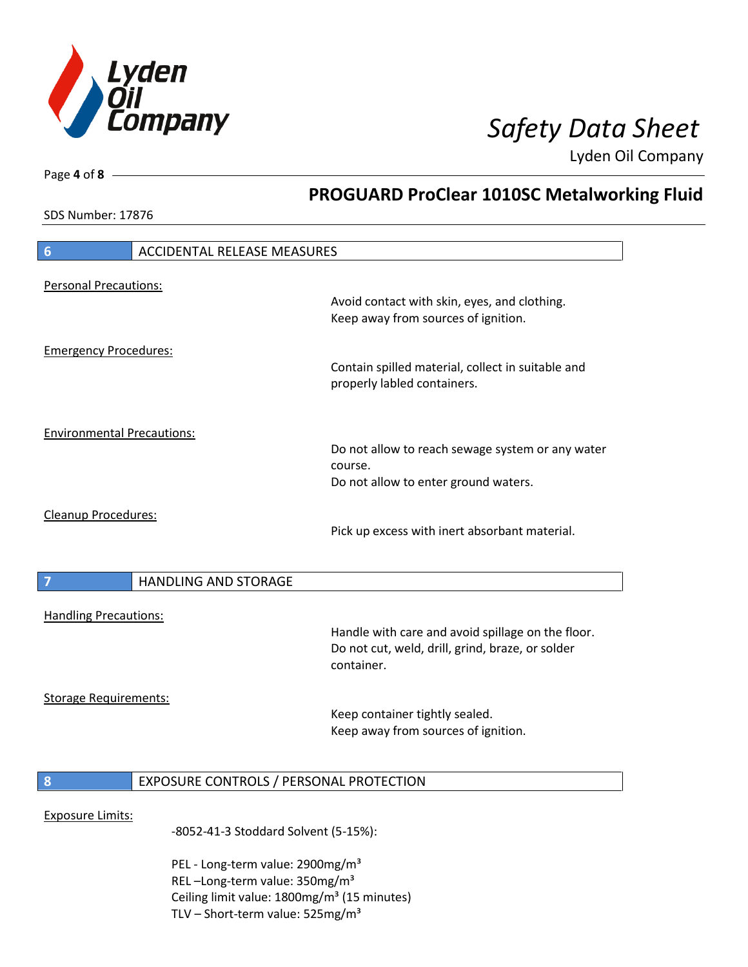

**PROGUARD ProClear 1010SC Metalworking Fluid**

Lyden Oil Company

SDS Number: 17876

Page **4** of **8**

# **6** ACCIDENTAL RELEASE MEASURES Personal Precautions: Avoid contact with skin, eyes, and clothing. Keep away from sources of ignition. Emergency Procedures: Contain spilled material, collect in suitable and properly labled containers. Environmental Precautions: Do not allow to reach sewage system or any water course. Do not allow to enter ground waters. Cleanup Procedures: Pick up excess with inert absorbant material. **7 HANDLING AND STORAGE** Handling Precautions: Handle with care and avoid spillage on the floor. Do not cut, weld, drill, grind, braze, or solder container. Storage Requirements: Keep container tightly sealed. Keep away from sources of ignition. **8** EXPOSURE CONTROLS / PERSONAL PROTECTION Exposure Limits: -8052-41-3 Stoddard Solvent (5-15%):

PEL - Long-term value: 2900mg/m<sup>3</sup> REL –Long-term value: 350mg/m³ Ceiling limit value: 1800mg/m<sup>3</sup> (15 minutes) TLV – Short-term value:  $525mg/m<sup>3</sup>$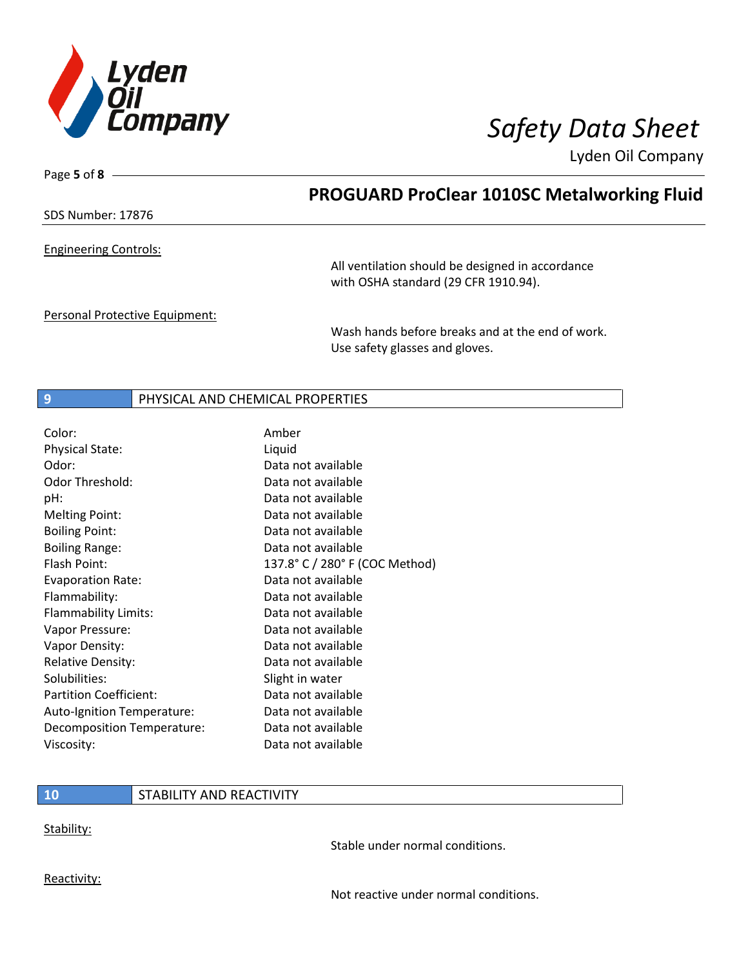

Page **5** of **8**

## **PROGUARD ProClear 1010SC Metalworking Fluid**

SDS Number: 17876

Engineering Controls:

All ventilation should be designed in accordance with OSHA standard (29 CFR 1910.94).

Personal Protective Equipment:

Wash hands before breaks and at the end of work. Use safety glasses and gloves.

### **9** PHYSICAL AND CHEMICAL PROPERTIES

| Color:                        | Amber                          |
|-------------------------------|--------------------------------|
| <b>Physical State:</b>        | Liquid                         |
| Odor:                         | Data not available             |
| Odor Threshold:               | Data not available             |
| pH:                           | Data not available             |
| <b>Melting Point:</b>         | Data not available             |
| <b>Boiling Point:</b>         | Data not available             |
| <b>Boiling Range:</b>         | Data not available             |
| Flash Point:                  | 137.8° C / 280° F (COC Method) |
| <b>Evaporation Rate:</b>      | Data not available             |
| Flammability:                 | Data not available             |
| Flammability Limits:          | Data not available             |
| Vapor Pressure:               | Data not available             |
| Vapor Density:                | Data not available             |
| <b>Relative Density:</b>      | Data not available             |
| Solubilities:                 | Slight in water                |
| <b>Partition Coefficient:</b> | Data not available             |
| Auto-Ignition Temperature:    | Data not available             |
| Decomposition Temperature:    | Data not available             |
| Viscosity:                    | Data not available             |

## **10** STABILITY AND REACTIVITY

Stability:

Stable under normal conditions.

Reactivity:

Not reactive under normal conditions.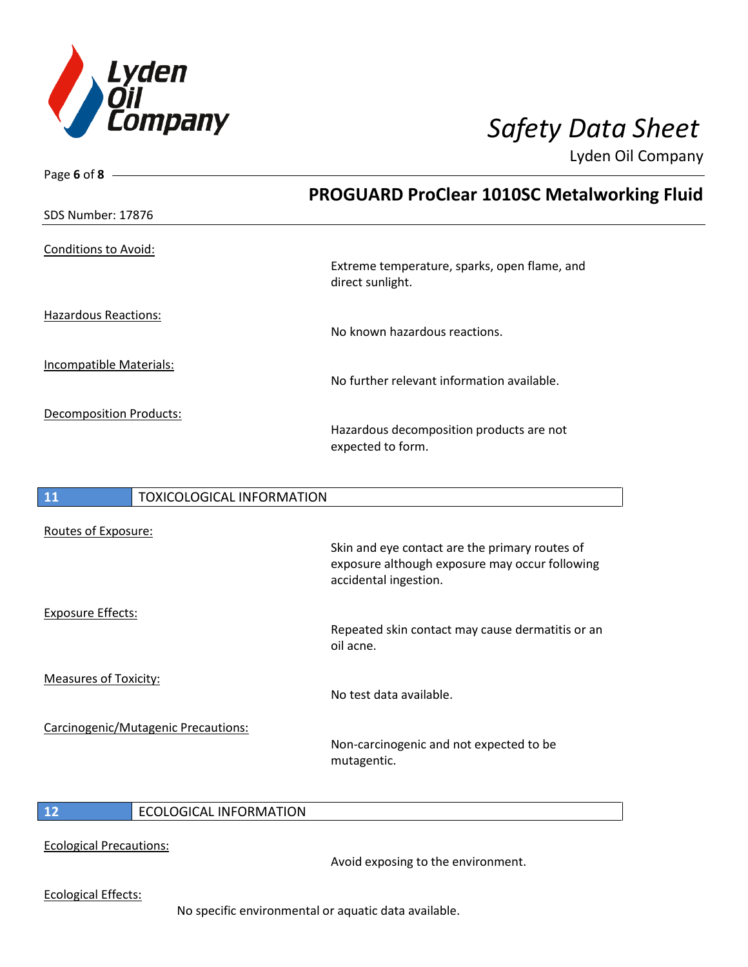

| Page 6 of 8                            |                                                                                                                           |
|----------------------------------------|---------------------------------------------------------------------------------------------------------------------------|
|                                        | <b>PROGUARD ProClear 1010SC Metalworking Fluid</b>                                                                        |
| <b>SDS Number: 17876</b>               |                                                                                                                           |
| <b>Conditions to Avoid:</b>            | Extreme temperature, sparks, open flame, and<br>direct sunlight.                                                          |
| <b>Hazardous Reactions:</b>            | No known hazardous reactions.                                                                                             |
| <b>Incompatible Materials:</b>         | No further relevant information available.                                                                                |
| <b>Decomposition Products:</b>         | Hazardous decomposition products are not<br>expected to form.                                                             |
| 11<br><b>TOXICOLOGICAL INFORMATION</b> |                                                                                                                           |
| Routes of Exposure:                    | Skin and eye contact are the primary routes of<br>exposure although exposure may occur following<br>accidental ingestion. |
| <b>Exposure Effects:</b>               |                                                                                                                           |

Exposure Effects: Repeated skin contact may cause dermatitis or an oil acne. Measures of Toxicity: No test data available. Carcinogenic/Mutagenic Precautions: Non-carcinogenic and not expected to be mutagentic.

## **12** ECOLOGICAL INFORMATION

Ecological Precautions:

Avoid exposing to the environment.

Ecological Effects:

No specific environmental or aquatic data available.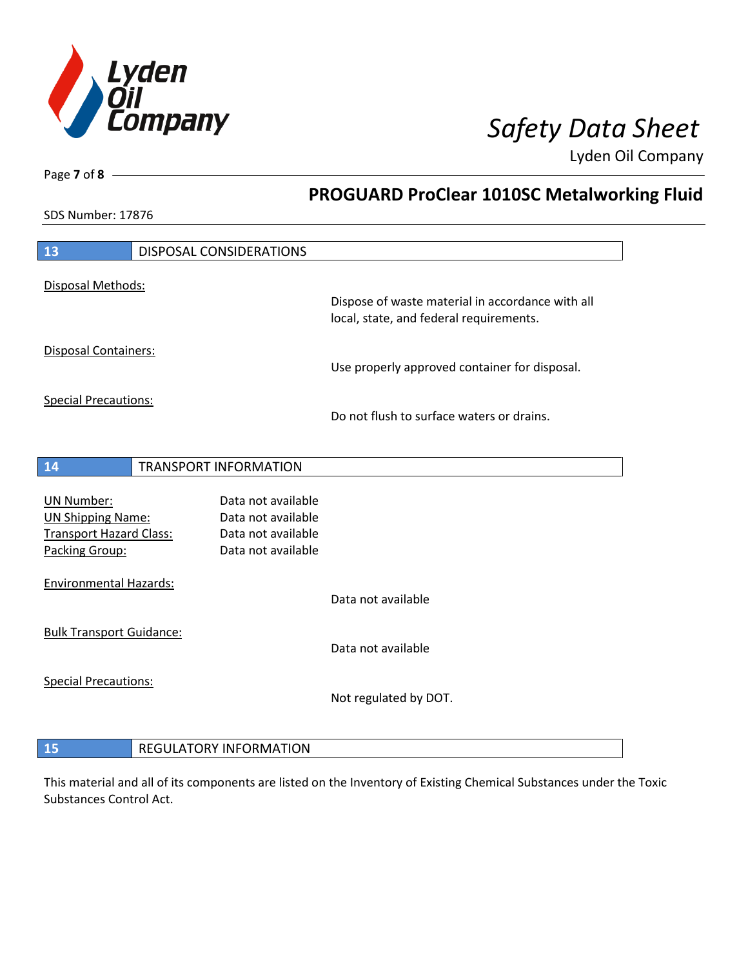

**PROGUARD ProClear 1010SC Metalworking Fluid**

Lyden Oil Company

SDS Number: 17876

Page **7** of **8**

 $\overline{\phantom{a}}$ 

| 13                                               | <b>DISPOSAL CONSIDERATIONS</b>           |                                                  |
|--------------------------------------------------|------------------------------------------|--------------------------------------------------|
| Disposal Methods:                                |                                          |                                                  |
|                                                  |                                          | Dispose of waste material in accordance with all |
|                                                  |                                          | local, state, and federal requirements.          |
| <b>Disposal Containers:</b>                      |                                          |                                                  |
|                                                  |                                          | Use properly approved container for disposal.    |
|                                                  |                                          |                                                  |
| <b>Special Precautions:</b>                      |                                          |                                                  |
|                                                  |                                          | Do not flush to surface waters or drains.        |
|                                                  |                                          |                                                  |
|                                                  |                                          |                                                  |
| 14                                               | <b>TRANSPORT INFORMATION</b>             |                                                  |
|                                                  |                                          |                                                  |
| <b>UN Number:</b>                                | Data not available                       |                                                  |
| <b>UN Shipping Name:</b>                         | Data not available<br>Data not available |                                                  |
| <b>Transport Hazard Class:</b><br>Packing Group: | Data not available                       |                                                  |
|                                                  |                                          |                                                  |
| <b>Environmental Hazards:</b>                    |                                          |                                                  |
|                                                  |                                          | Data not available                               |
|                                                  |                                          |                                                  |
| <b>Bulk Transport Guidance:</b>                  |                                          |                                                  |
|                                                  |                                          | Data not available                               |
| <b>Special Precautions:</b>                      |                                          |                                                  |
|                                                  |                                          | Not regulated by DOT.                            |
|                                                  |                                          |                                                  |
|                                                  |                                          |                                                  |
| 15                                               | <b>REGULATORY INFORMATION</b>            |                                                  |

This material and all of its components are listed on the Inventory of Existing Chemical Substances under the Toxic Substances Control Act.